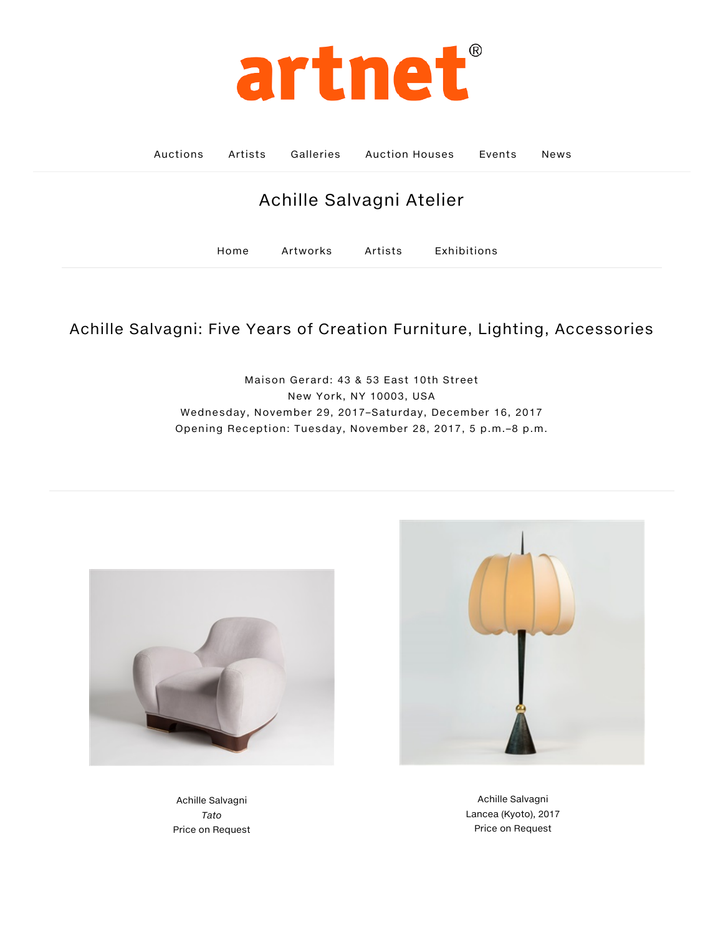

Auctions Artists Galleries Auction Houses Events News

## Achille Salvagni Atelier

[Home](http://www.artnet.com/galleries/achille-salvagni-atelier/) [Artworks](http://www.artnet.com/galleries/achille-salvagni-atelier/artworks/) [Artists](http://www.artnet.com/galleries/achille-salvagni-atelier/artists/) [Exhibitions](http://www.artnet.com/galleries/achille-salvagni-atelier/exhibitions/)

## Achille Salvagni: Five Years of Creation Furniture, Lighting, Accessories

Maison Gerard: 43 & 53 East 10th Street New York, NY 10003, USA Wednesday, November 29, 2017–Saturday, December 16, 2017 Opening Reception: Tuesday, November 28, 2017, 5 p.m.–8 p.m.



Achille Salvagni Tato [Price on Request](http://www.artnet.com/artists/achille-salvagni/tato-a-Kl1UyLMpE-MBAaqO152y3w2)



Achille Salvagni [Lancea \(Kyoto\), 2017](http://www.artnet.com/artists/achille-salvagni/lancea-kyoto-a-KIyVwS-ct05TRtDxTceRbA2) Price on Request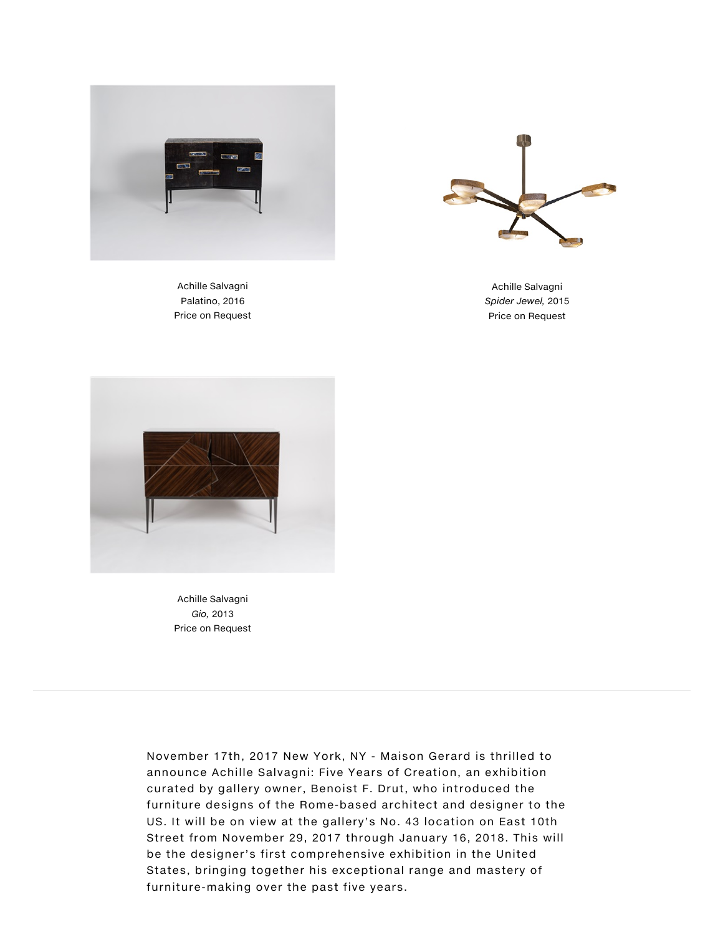



Achille Salvagni Palatino, 2016 Price on Request

Achille Salvagni Spider Jewel, 2015 Price on Request



Achille Salvagni Gio, 2013 Price on Request

November 17th, 2017 New York, NY - Maison Gerard is thrilled to announce Achille Salvagni: Five Years of Creation, an exhibition curated by gallery owner, Benoist F. Drut, who introduced the furniture designs of the Rome-based architect and designer to the US. It will be on view at the gallery's No. 43 location on East 10th Street from November 29, 2017 through January 16, 2018. This will be the designer's first comprehensive exhibition in the United States, bringing together his exceptional range and mastery of furniture-making over the past five years.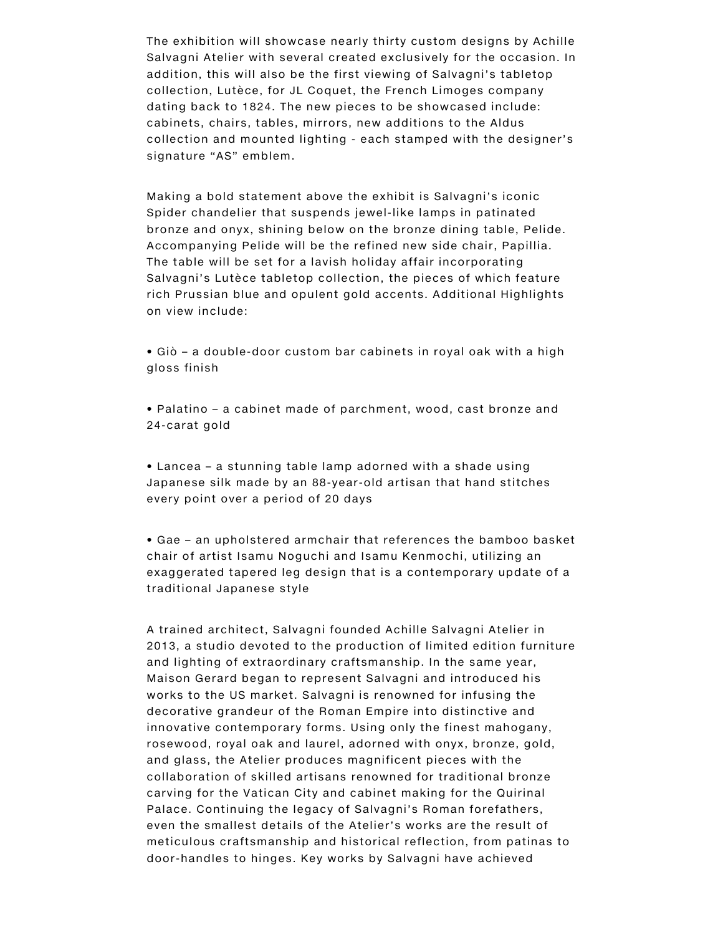The exhibition will showcase nearly thirty custom designs by Achille Salvagni Atelier with several created exclusively for the occasion. In addition, this will also be the first viewing of Salvagni's tabletop collection, Lutèce, for JL Coquet, the French Limoges company dating back to 1824. The new pieces to be showcased include: cabinets, chairs, tables, mirrors, new additions to the Aldus collection and mounted lighting - each stamped with the designer's signature "AS" emblem.

Making a bold statement above the exhibit is Salvagni's iconic Spider chandelier that suspends jewel-like lamps in patinated bronze and onyx, shining below on the bronze dining table, Pelide. Accompanying Pelide will be the refined new side chair, Papillia. The table will be set for a lavish holiday affair incorporating Salvagni's Lutèce tabletop collection, the pieces of which feature rich Prussian blue and opulent gold accents. Additional Highlights on view include:

• Giò – a double-door custom bar cabinets in royal oak with a high gloss finish

• Palatino – a cabinet made of parchment, wood, cast bronze and 24-carat gold

• Lancea – a stunning table lamp adorned with a shade using Japanese silk made by an 88-year-old artisan that hand stitches every point over a period of 20 days

• Gae – an upholstered armchair that references the bamboo basket chair of artist Isamu Noguchi and Isamu Kenmochi, utilizing an exaggerated tapered leg design that is a contemporary update of a traditional Japanese style

A trained architect, Salvagni founded Achille Salvagni Atelier in 2013, a studio devoted to the production of limited edition furniture and lighting of extraordinary craftsmanship. In the same year, Maison Gerard began to represent Salvagni and introduced his works to the US market. Salvagni is renowned for infusing the decorative grandeur of the Roman Empire into distinctive and innovative contemporary forms. Using only the finest mahogany, rosewood, royal oak and laurel, adorned with onyx, bronze, gold, and glass, the Atelier produces magnificent pieces with the collaboration of skilled artisans renowned for traditional bronze carving for the Vatican City and cabinet making for the Quirinal Palace. Continuing the legacy of Salvagni's Roman forefathers, even the smallest details of the Atelier's works are the result of meticulous craftsmanship and historical reflection, from patinas to door-handles to hinges. Key works by Salvagni have achieved